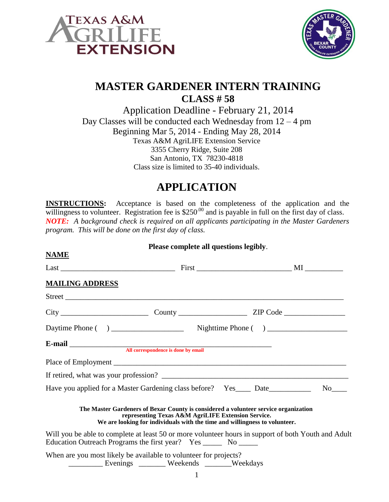



## **MASTER GARDENER INTERN TRAINING CLASS # 58**

Application Deadline - February 21, 2014 Day Classes will be conducted each Wednesday from  $12 - 4$  pm Beginning Mar 5, 2014 - Ending May 28, 2014 Texas A&M AgriLIFE Extension Service 3355 Cherry Ridge, Suite 208 San Antonio, TX 78230-4818 Class size is limited to 35-40 individuals.

## **APPLICATION**

**INSTRUCTIONS:** Acceptance is based on the completeness of the application and the willingness to volunteer. Registration fee is  $$250^{00}$  and is payable in full on the first day of class. *NOTE: A background check is required on all applicants participating in the Master Gardeners program. This will be done on the first day of class.*

| Please complete all questions legibly.                                                                                                                            |                                                    |  |  |  |
|-------------------------------------------------------------------------------------------------------------------------------------------------------------------|----------------------------------------------------|--|--|--|
| <b>NAME</b>                                                                                                                                                       |                                                    |  |  |  |
|                                                                                                                                                                   |                                                    |  |  |  |
| <b>MAILING ADDRESS</b>                                                                                                                                            |                                                    |  |  |  |
|                                                                                                                                                                   |                                                    |  |  |  |
|                                                                                                                                                                   |                                                    |  |  |  |
|                                                                                                                                                                   |                                                    |  |  |  |
|                                                                                                                                                                   |                                                    |  |  |  |
|                                                                                                                                                                   |                                                    |  |  |  |
|                                                                                                                                                                   |                                                    |  |  |  |
|                                                                                                                                                                   |                                                    |  |  |  |
| The Master Gardeners of Bexar County is considered a volunteer service organization<br>We are looking for individuals with the time and willingness to volunteer. | representing Texas A&M AgriLIFE Extension Service. |  |  |  |
| Will you be able to complete at least 50 or more volunteer hours in support of both Youth and Adult                                                               |                                                    |  |  |  |
| When are you most likely be available to volunteer for projects?<br>Evenings _______ Weekends ______Weekdays                                                      |                                                    |  |  |  |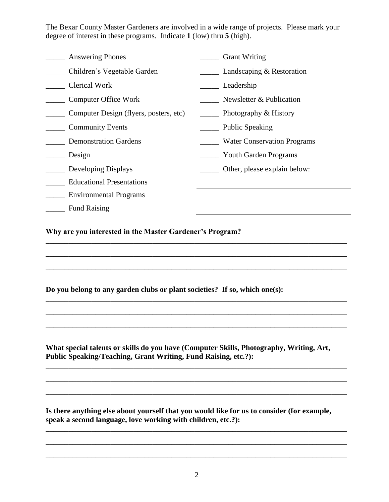The Bexar County Master Gardeners are involved in a wide range of projects. Please mark your degree of interest in these programs. Indicate **1** (low) thru **5** (high).

| <b>Answering Phones</b>                | <b>Grant Writing</b>               |
|----------------------------------------|------------------------------------|
| Children's Vegetable Garden            | Landscaping & Restoration          |
| <b>Clerical Work</b>                   | Leadership                         |
| <b>Computer Office Work</b>            | Newsletter & Publication           |
| Computer Design (flyers, posters, etc) | Photography & History              |
| <b>Community Events</b>                | <b>Public Speaking</b>             |
| <b>Demonstration Gardens</b>           | <b>Water Conservation Programs</b> |
| Design                                 | <b>Youth Garden Programs</b>       |
| Developing Displays                    | Other, please explain below:       |
| <b>Educational Presentations</b>       |                                    |
| <b>Environmental Programs</b>          |                                    |
| <b>Fund Raising</b>                    |                                    |

\_\_\_\_\_\_\_\_\_\_\_\_\_\_\_\_\_\_\_\_\_\_\_\_\_\_\_\_\_\_\_\_\_\_\_\_\_\_\_\_\_\_\_\_\_\_\_\_\_\_\_\_\_\_\_\_\_\_\_\_\_\_\_\_\_\_\_\_\_\_\_\_\_\_\_\_\_\_\_

\_\_\_\_\_\_\_\_\_\_\_\_\_\_\_\_\_\_\_\_\_\_\_\_\_\_\_\_\_\_\_\_\_\_\_\_\_\_\_\_\_\_\_\_\_\_\_\_\_\_\_\_\_\_\_\_\_\_\_\_\_\_\_\_\_\_\_\_\_\_\_\_\_\_\_\_\_\_\_

\_\_\_\_\_\_\_\_\_\_\_\_\_\_\_\_\_\_\_\_\_\_\_\_\_\_\_\_\_\_\_\_\_\_\_\_\_\_\_\_\_\_\_\_\_\_\_\_\_\_\_\_\_\_\_\_\_\_\_\_\_\_\_\_\_\_\_\_\_\_\_\_\_\_\_\_\_\_\_

\_\_\_\_\_\_\_\_\_\_\_\_\_\_\_\_\_\_\_\_\_\_\_\_\_\_\_\_\_\_\_\_\_\_\_\_\_\_\_\_\_\_\_\_\_\_\_\_\_\_\_\_\_\_\_\_\_\_\_\_\_\_\_\_\_\_\_\_\_\_\_\_\_\_\_\_\_\_\_

\_\_\_\_\_\_\_\_\_\_\_\_\_\_\_\_\_\_\_\_\_\_\_\_\_\_\_\_\_\_\_\_\_\_\_\_\_\_\_\_\_\_\_\_\_\_\_\_\_\_\_\_\_\_\_\_\_\_\_\_\_\_\_\_\_\_\_\_\_\_\_\_\_\_\_\_\_\_\_

\_\_\_\_\_\_\_\_\_\_\_\_\_\_\_\_\_\_\_\_\_\_\_\_\_\_\_\_\_\_\_\_\_\_\_\_\_\_\_\_\_\_\_\_\_\_\_\_\_\_\_\_\_\_\_\_\_\_\_\_\_\_\_\_\_\_\_\_\_\_\_\_\_\_\_\_\_\_\_

\_\_\_\_\_\_\_\_\_\_\_\_\_\_\_\_\_\_\_\_\_\_\_\_\_\_\_\_\_\_\_\_\_\_\_\_\_\_\_\_\_\_\_\_\_\_\_\_\_\_\_\_\_\_\_\_\_\_\_\_\_\_\_\_\_\_\_\_\_\_\_\_\_\_\_\_\_\_\_

\_\_\_\_\_\_\_\_\_\_\_\_\_\_\_\_\_\_\_\_\_\_\_\_\_\_\_\_\_\_\_\_\_\_\_\_\_\_\_\_\_\_\_\_\_\_\_\_\_\_\_\_\_\_\_\_\_\_\_\_\_\_\_\_\_\_\_\_\_\_\_\_\_\_\_\_\_\_\_

\_\_\_\_\_\_\_\_\_\_\_\_\_\_\_\_\_\_\_\_\_\_\_\_\_\_\_\_\_\_\_\_\_\_\_\_\_\_\_\_\_\_\_\_\_\_\_\_\_\_\_\_\_\_\_\_\_\_\_\_\_\_\_\_\_\_\_\_\_\_\_\_\_\_\_\_\_\_\_

\_\_\_\_\_\_\_\_\_\_\_\_\_\_\_\_\_\_\_\_\_\_\_\_\_\_\_\_\_\_\_\_\_\_\_\_\_\_\_\_\_\_\_\_\_\_\_\_\_\_\_\_\_\_\_\_\_\_\_\_\_\_\_\_\_\_\_\_\_\_\_\_\_\_\_\_\_\_\_

**Why are you interested in the Master Gardener's Program?**

**Do you belong to any garden clubs or plant societies? If so, which one(s):**

**What special talents or skills do you have (Computer Skills, Photography, Writing, Art, Public Speaking/Teaching, Grant Writing, Fund Raising, etc.?):**

**Is there anything else about yourself that you would like for us to consider (for example, speak a second language, love working with children, etc.?):**

\_\_\_\_\_\_\_\_\_\_\_\_\_\_\_\_\_\_\_\_\_\_\_\_\_\_\_\_\_\_\_\_\_\_\_\_\_\_\_\_\_\_\_\_\_\_\_\_\_\_\_\_\_\_\_\_\_\_\_\_\_\_\_\_\_\_\_\_\_\_\_\_\_\_\_\_\_\_\_

\_\_\_\_\_\_\_\_\_\_\_\_\_\_\_\_\_\_\_\_\_\_\_\_\_\_\_\_\_\_\_\_\_\_\_\_\_\_\_\_\_\_\_\_\_\_\_\_\_\_\_\_\_\_\_\_\_\_\_\_\_\_\_\_\_\_\_\_\_\_\_\_\_\_\_\_\_\_\_